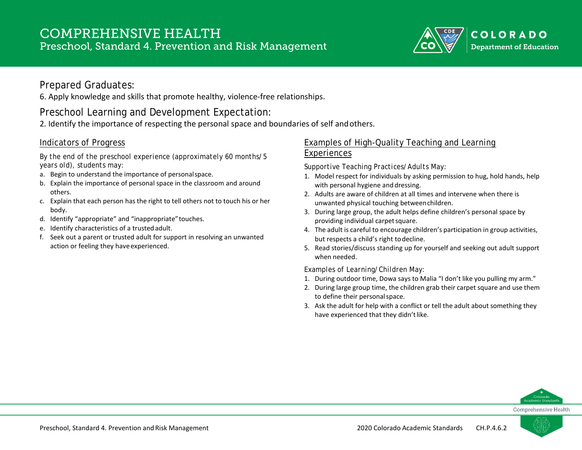

### Prepared Graduates:

6. Apply knowledge and skills that promote healthy, violence-free relationships.

# Preschool Learning and Development Expectation:

2. Identify the importance of respecting the personal space and boundaries of self andothers.

#### Indicators of Progress

*By the end of the preschool experience (approximately 60 months/5 years old), students may:*

- a. Begin to understand the importance of personalspace.
- b. Explain the importance of personal space in the classroom and around others.
- c. Explain that each person has the right to tell others not to touch his or her body.
- d. Identify "appropriate" and "inappropriate"touches.
- e. Identify characteristics of a trustedadult.
- f. Seek out a parent or trusted adult for support in resolving an unwanted action or feeling they have experienced.

#### Examples of High-Quality Teaching and Learning Experiences

*Supportive Teaching Practices/Adults May:*

- 1. Model respect for individuals by asking permission to hug, hold hands, help with personal hygiene and dressing.
- 2. Adults are aware of children at all times and intervene when there is unwanted physical touching betweenchildren.
- 3. During large group, the adult helps define children's personal space by providing individual carpetsquare.
- 4. The adult is careful to encourage children's participation in group activities, but respects a child's right todecline.
- 5. Read stories/discuss standing up for yourself and seeking out adult support when needed.

*Examples of Learning/Children May:*

- 1. During outdoor time, Dowa says to Malia "I don't like you pulling my arm."
- 2. During large group time, the children grab their carpet square and use them to define their personalspace.
- 3. Ask the adult for help with a conflict or tell the adult about something they have experienced that they didn't like.



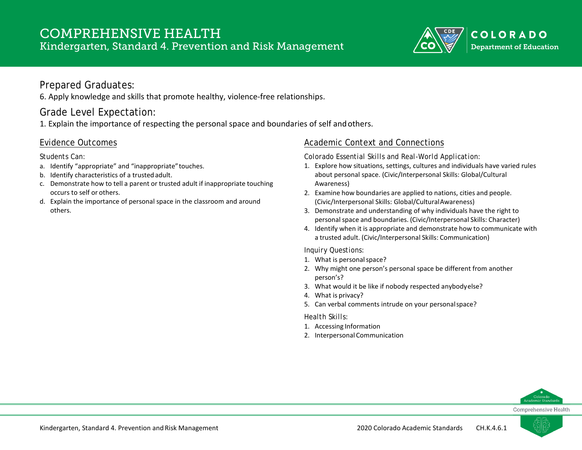

### Prepared Graduates:

6. Apply knowledge and skills that promote healthy, violence-free relationships.

# Grade Level Expectation:

1. Explain the importance of respecting the personal space and boundaries of self andothers.

### Evidence Outcomes

*Students Can:*

- a. Identify "appropriate" and "inappropriate"touches.
- b. Identify characteristics of a trustedadult.
- c. Demonstrate how to tell a parent or trusted adult if inappropriate touching occurs to self or others.
- d. Explain the importance of personal space in the classroom and around others.

### Academic Context and Connections

*Colorado Essential Skills and Real-World Application:*

- 1. Explore how situations, settings, cultures and individuals have varied rules about personal space. (Civic/Interpersonal Skills: Global/Cultural Awareness)
- 2. Examine how boundaries are applied to nations, cities and people. (Civic/Interpersonal Skills: Global/CulturalAwareness)
- 3. Demonstrate and understanding of why individuals have the right to personal space and boundaries. (Civic/Interpersonal Skills: Character)
- 4. Identify when it is appropriate and demonstrate how to communicate with a trusted adult. (Civic/Interpersonal Skills: Communication)

*Inquiry Questions:*

- 1. What is personalspace?
- 2. Why might one person's personal space be different from another person's?
- 3. What would it be like if nobody respected anybodyelse?
- 4. What is privacy?
- 5. Can verbal comments intrude on your personalspace?

- 1. Accessing Information
- 2. Interpersonal Communication

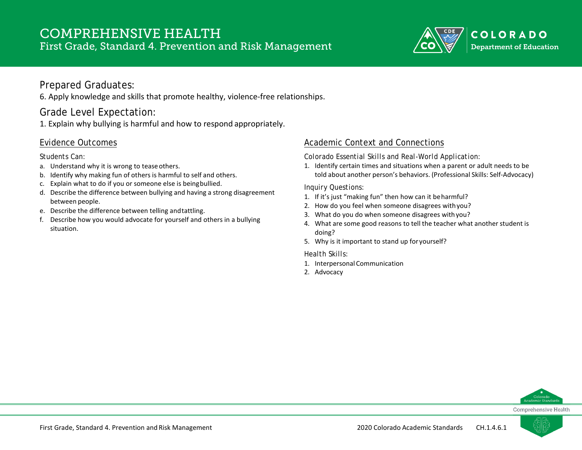# COMPREHENSIVE HEALTH First Grade, Standard 4. Prevention and Risk Management



### Prepared Graduates:

6. Apply knowledge and skills that promote healthy, violence-free relationships.

# Grade Level Expectation:

1. Explain why bullying is harmful and how to respond appropriately.

### Evidence Outcomes

#### *Students Can:*

- a. Understand why it is wrong to teaseothers.
- b. Identify why making fun of others is harmful to self and others.
- c. Explain what to do if you or someone else is beingbullied.
- d. Describe the difference between bullying and having a strong disagreement between people.
- e. Describe the difference between telling andtattling.
- f. Describe how you would advocate for yourself and others in a bullying situation.

### Academic Context and Connections

*Colorado Essential Skills and Real-World Application:*

1. Identify certain times and situations when a parent or adult needs to be told about another person's behaviors. (Professional Skills: Self-Advocacy)

#### *Inquiry Questions:*

- 1. If it's just "making fun" then how can it beharmful?
- 2. How do you feel when someone disagrees withyou?
- 3. What do you do when someone disagrees withyou?
- 4. What are some good reasons to tell the teacher what another student is doing?
- 5. Why is it important to stand up for yourself?

- 1. Interpersonal Communication
- 2. Advocacy



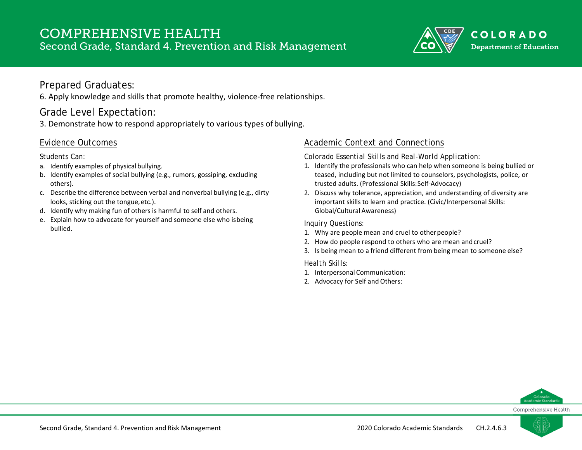# COMPREHENSIVE HEALTH

Second Grade, Standard 4. Prevention and Risk Management



### Prepared Graduates:

6. Apply knowledge and skills that promote healthy, violence-free relationships.

## Grade Level Expectation:

3. Demonstrate how to respond appropriately to various types ofbullying.

#### Evidence Outcomes

*Students Can:*

- a. Identify examples of physical bullying.
- b. Identify examples of social bullying (e.g., rumors, gossiping, excluding others).
- c. Describe the difference between verbal and nonverbal bullying (e.g., dirty looks, sticking out the tongue, etc.).
- d. Identify why making fun of others is harmful to self and others.
- e. Explain how to advocate for yourself and someone else who isbeing bullied.

### Academic Context and Connections

*Colorado Essential Skills and Real-World Application:*

- 1. Identify the professionals who can help when someone is being bullied or teased, including but not limited to counselors, psychologists, police, or trusted adults. (Professional Skills:Self-Advocacy)
- 2. Discuss why tolerance, appreciation, and understanding of diversity are important skills to learn and practice. (Civic/Interpersonal Skills: Global/Cultural Awareness)

#### *Inquiry Questions:*

- 1. Why are people mean and cruel to otherpeople?
- 2. How do people respond to others who are mean andcruel?
- 3. Is being mean to a friend different from being mean to someone else?

- 1. Interpersonal Communication:
- 2. Advocacy for Self and Others:



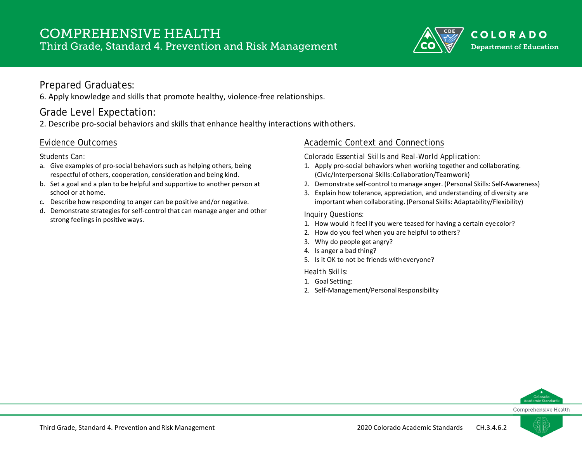# COMPREHENSIVE HEALTH Third Grade, Standard 4. Prevention and Risk Management



### Prepared Graduates:

6. Apply knowledge and skills that promote healthy, violence-free relationships.

## Grade Level Expectation:

2. Describe pro-social behaviors and skills that enhance healthy interactions withothers.

### Evidence Outcomes

*Students Can:*

- a. Give examples of pro-social behaviors such as helping others, being respectful of others, cooperation, consideration and being kind.
- b. Set a goal and a plan to be helpful and supportive to another person at school or at home.
- c. Describe how responding to anger can be positive and/or negative.
- d. Demonstrate strategies for self-control that can manage anger and other strong feelings in positive ways.

### Academic Context and Connections

*Colorado Essential Skills and Real-World Application:*

- 1. Apply pro-social behaviors when working together and collaborating. (Civic/Interpersonal Skills:Collaboration/Teamwork)
- 2. Demonstrate self-control to manage anger. (Personal Skills: Self-Awareness)
- 3. Explain how tolerance, appreciation, and understanding of diversity are important when collaborating. (Personal Skills: Adaptability/Flexibility)

#### *Inquiry Questions:*

- 1. How would it feel if you were teased for having a certain eyecolor?
- 2. How do you feel when you are helpful to others?
- 3. Why do people get angry?
- 4. Is anger a bad thing?
- 5. Is it OK to not be friends with everyone?

- 1. Goal Setting:
- 2. Self-Management/PersonalResponsibility



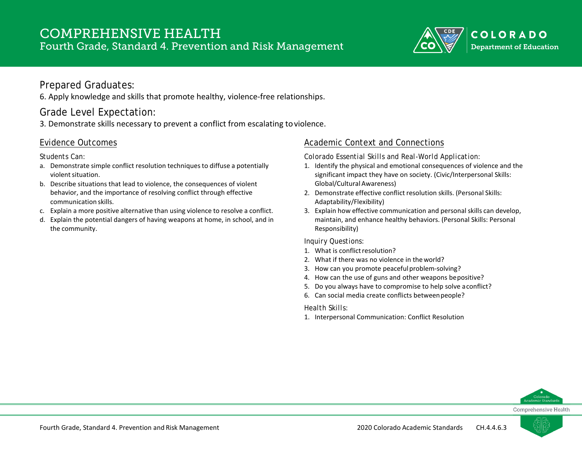# COMPREHENSIVE HEALTH Fourth Grade, Standard 4. Prevention and Risk Management



### Prepared Graduates:

6. Apply knowledge and skills that promote healthy, violence-free relationships.

# Grade Level Expectation:

3. Demonstrate skills necessary to prevent a conflict from escalating toviolence.

#### Evidence Outcomes

*Students Can:*

- a. Demonstrate simple conflict resolution techniques to diffuse a potentially violent situation.
- b. Describe situations that lead to violence, the consequences of violent behavior, and the importance of resolving conflict through effective communication skills.
- c. Explain a more positive alternative than using violence to resolve a conflict.
- d. Explain the potential dangers of having weapons at home, in school, and in the community.

### Academic Context and Connections

*Colorado Essential Skills and Real-World Application:*

- 1. Identify the physical and emotional consequences of violence and the significant impact they have on society. (Civic/Interpersonal Skills: Global/Cultural Awareness)
- 2. Demonstrate effective conflict resolution skills. (Personal Skills: Adaptability/Flexibility)
- 3. Explain how effective communication and personal skills can develop, maintain, and enhance healthy behaviors. (Personal Skills: Personal Responsibility)

#### *Inquiry Questions:*

- 1. What is conflict resolution?
- 2. What if there was no violence in theworld?
- 3. How can you promote peacefulproblem-solving?
- 4. How can the use of guns and other weapons bepositive?
- 5. Do you always have to compromise to help solve aconflict?
- 6. Can social media create conflicts betweenpeople?

#### *Health Skills:*

1. Interpersonal Communication: Conflict Resolution



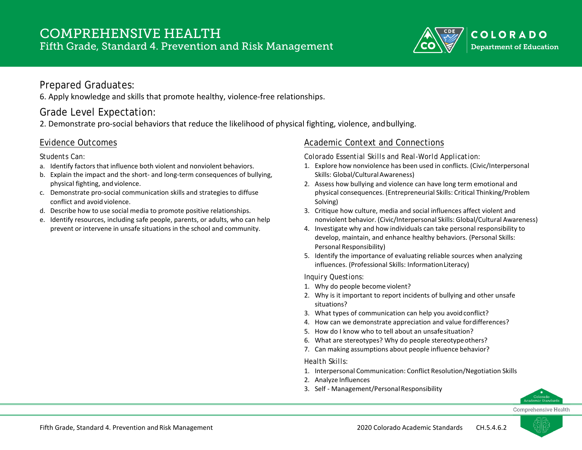

### Prepared Graduates:

6. Apply knowledge and skills that promote healthy, violence-free relationships.

## Grade Level Expectation:

2. Demonstrate pro-social behaviors that reduce the likelihood of physical fighting, violence, andbullying.

### Evidence Outcomes

*Students Can:*

- a. Identify factors that influence both violent and nonviolent behaviors.
- b. Explain the impact and the short- and long-term consequences of bullying, physical fighting, and violence.
- c. Demonstrate pro-social communication skills and strategies to diffuse conflict and avoid violence.
- d. Describe how to use social media to promote positive relationships.
- e. Identify resources, including safe people, parents, or adults, who can help prevent or intervene in unsafe situations in the school and community.

### Academic Context and Connections

*Colorado Essential Skills and Real-World Application:*

- 1. Explore how nonviolence has been used in conflicts. (Civic/Interpersonal Skills: Global/Cultural Awareness)
- 2. Assess how bullying and violence can have long term emotional and physical consequences. (Entrepreneurial Skills: Critical Thinking/Problem Solving)
- 3. Critique how culture, media and social influences affect violent and nonviolent behavior. (Civic/Interpersonal Skills: Global/Cultural Awareness)
- 4. Investigate why and how individuals can take personal responsibility to develop, maintain, and enhance healthy behaviors. (Personal Skills: Personal Responsibility)
- 5. Identify the importance of evaluating reliable sources when analyzing influences. (Professional Skills: InformationLiteracy)

#### *Inquiry Questions:*

- 1. Why do people become violent?
- 2. Why is it important to report incidents of bullying and other unsafe situations?
- 3. What types of communication can help you avoidconflict?
- 4. How can we demonstrate appreciation and value fordifferences?
- 5. How do I know who to tell about an unsafesituation?
- 6. What are stereotypes? Why do people stereotypeothers?
- 7. Can making assumptions about people influence behavior?

- 1. Interpersonal Communication: Conflict Resolution/Negotiation Skills
- 2. Analyze Influences
- 3. Self Management/PersonalResponsibility



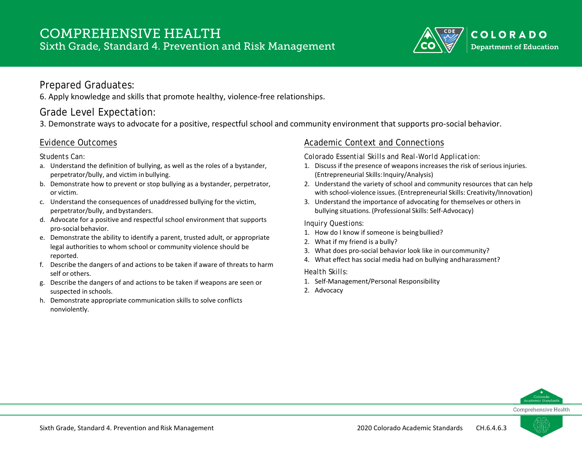# COMPREHENSIVE HEALTH Sixth Grade, Standard 4. Prevention and Risk Management



### Prepared Graduates:

6. Apply knowledge and skills that promote healthy, violence-free relationships.

# Grade Level Expectation:

3. Demonstrate ways to advocate for a positive, respectful school and community environment that supports pro-social behavior.

#### Evidence Outcomes

*Students Can:*

- a. Understand the definition of bullying, as well as the roles of a bystander, perpetrator/bully, and victim inbullying.
- b. Demonstrate how to prevent or stop bullying as a bystander, perpetrator, or victim.
- c. Understand the consequences of unaddressed bullying for the victim, perpetrator/bully, and bystanders.
- d. Advocate for a positive and respectful school environment that supports pro-social behavior.
- e. Demonstrate the ability to identify a parent, trusted adult, or appropriate legal authorities to whom school or community violence should be reported.
- f. Describe the dangers of and actions to be taken if aware of threats to harm self or others.
- g. Describe the dangers of and actions to be taken if weapons are seen or suspected in schools.
- h. Demonstrate appropriate communication skills to solve conflicts nonviolently.

### Academic Context and Connections

*Colorado Essential Skills and Real-World Application:*

- 1. Discuss if the presence of weapons increases the risk of serious injuries. (Entrepreneurial Skills: Inquiry/Analysis)
- 2. Understand the variety of school and community resources that can help with school-violence issues. (Entrepreneurial Skills: Creativity/Innovation)
- 3. Understand the importance of advocating for themselves or others in bullying situations. (Professional Skills: Self-Advocacy)

#### *Inquiry Questions:*

- 1. How do I know if someone is beingbullied?
- 2. What if my friend is a bully?
- 3. What does pro-social behavior look like in ourcommunity?
- 4. What effect has social media had on bullying andharassment?

- 1. Self-Management/Personal Responsibility
- 2. Advocacy



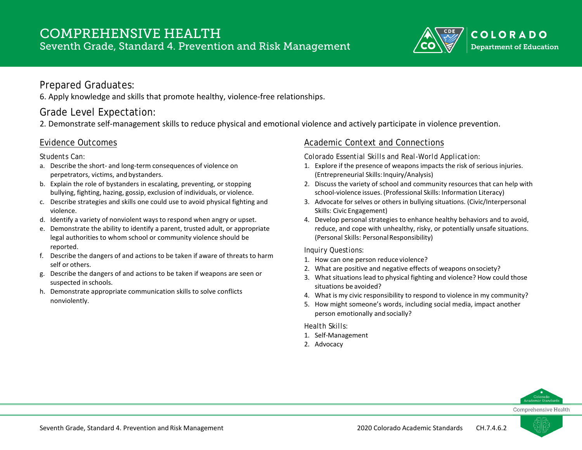# COMPREHENSIVE HEALTH Seventh Grade, Standard 4. Prevention and Risk Management



### Prepared Graduates:

6. Apply knowledge and skills that promote healthy, violence-free relationships.

### Grade Level Expectation:

2. Demonstrate self-management skills to reduce physical and emotional violence and actively participate in violence prevention.

#### Evidence Outcomes

*Students Can:*

- a. Describe the short- and long-term consequences of violence on perpetrators, victims, and bystanders.
- b. Explain the role of bystanders in escalating, preventing, or stopping bullying, fighting, hazing, gossip, exclusion of individuals, or violence.
- c. Describe strategies and skills one could use to avoid physical fighting and violence.
- d. Identify a variety of nonviolent ways to respond when angry or upset.
- e. Demonstrate the ability to identify a parent, trusted adult, or appropriate legal authorities to whom school or community violence should be reported.
- f. Describe the dangers of and actions to be taken if aware of threats to harm self or others.
- g. Describe the dangers of and actions to be taken if weapons are seen or suspected in schools.
- h. Demonstrate appropriate communication skills to solve conflicts nonviolently.

### Academic Context and Connections

*Colorado Essential Skills and Real-World Application:*

- 1. Explore if the presence of weapons impacts the risk of serious injuries. (Entrepreneurial Skills: Inquiry/Analysis)
- 2. Discuss the variety of school and community resources that can help with school-violence issues. (Professional Skills: Information Literacy)
- 3. Advocate for selves or others in bullying situations. (Civic/Interpersonal Skills: Civic Engagement)
- 4. Develop personal strategies to enhance healthy behaviors and to avoid, reduce, and cope with unhealthy, risky, or potentially unsafe situations. (Personal Skills: PersonalResponsibility)

#### *Inquiry Questions:*

- 1. How can one person reduce violence?
- 2. What are positive and negative effects of weapons onsociety?
- 3. What situations lead to physical fighting and violence? How could those situations be avoided?
- 4. What is my civic responsibility to respond to violence in my community?
- 5. How might someone's words, including social media, impact another person emotionally and socially?

- 1. Self-Management
- 2. Advocacy



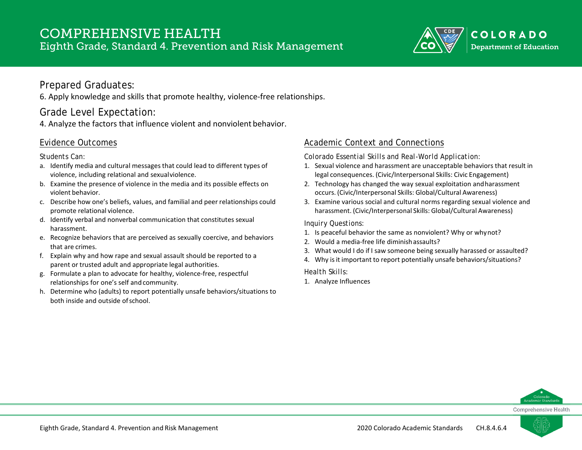

### Prepared Graduates:

6. Apply knowledge and skills that promote healthy, violence-free relationships.

# Grade Level Expectation:

4. Analyze the factors that influence violent and nonviolent behavior.

#### Evidence Outcomes

*Students Can:*

- a. Identify media and cultural messages that could lead to different types of violence, including relational and sexualviolence.
- b. Examine the presence of violence in the media and its possible effects on violent behavior.
- c. Describe how one's beliefs, values, and familial and peer relationships could promote relational violence.
- d. Identify verbal and nonverbal communication that constitutes sexual harassment.
- e. Recognize behaviors that are perceived as sexually coercive, and behaviors that are crimes.
- f. Explain why and how rape and sexual assault should be reported to a parent or trusted adult and appropriate legal authorities.
- g. Formulate a plan to advocate for healthy, violence-free, respectful relationships for one's self and community.
- h. Determine who (adults) to report potentially unsafe behaviors/situations to both inside and outside ofschool.

### Academic Context and Connections

*Colorado Essential Skills and Real-World Application:*

- 1. Sexual violence and harassment are unacceptable behaviors that result in legal consequences. (Civic/Interpersonal Skills: Civic Engagement)
- 2. Technology has changed the way sexual exploitation andharassment occurs. (Civic/Interpersonal Skills: Global/Cultural Awareness)
- 3. Examine various social and cultural norms regarding sexual violence and harassment. (Civic/Interpersonal Skills: Global/Cultural Awareness)

#### *Inquiry Questions:*

- 1. Is peaceful behavior the same as nonviolent? Why or whynot?
- 2. Would a media-free life diminishassaults?
- 3. What would I do if I saw someone being sexually harassed or assaulted?
- 4. Why is it important to report potentially unsafe behaviors/situations?

#### *Health Skills:*

1. Analyze Influences



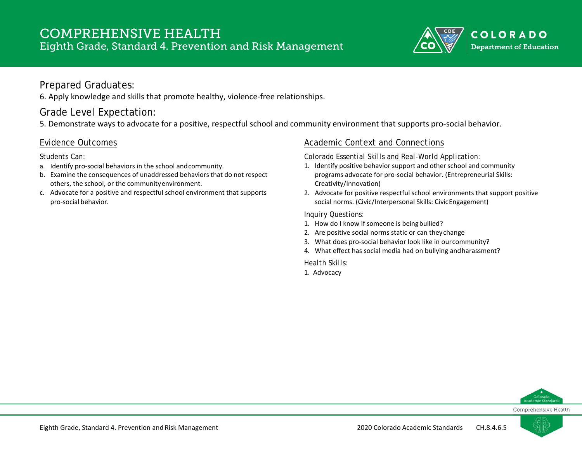

### Prepared Graduates:

6. Apply knowledge and skills that promote healthy, violence-free relationships.

# Grade Level Expectation:

5. Demonstrate ways to advocate for a positive, respectful school and community environment that supports pro-social behavior.

#### Evidence Outcomes

*Students Can:*

- a. Identify pro-social behaviors in the school andcommunity.
- b. Examine the consequences of unaddressed behaviors that do not respect others, the school, or the communityenvironment.
- c. Advocate for a positive and respectful school environment that supports pro-social behavior.

### Academic Context and Connections

*Colorado Essential Skills and Real-World Application:*

- 1. Identify positive behavior support and other school and community programs advocate for pro-social behavior. (Entrepreneurial Skills: Creativity/Innovation)
- 2. Advocate for positive respectful school environments that support positive social norms. (Civic/Interpersonal Skills: CivicEngagement)

#### *Inquiry Questions:*

- 1. How do I know if someone is beingbullied?
- 2. Are positive social norms static or can theychange
- 3. What does pro-social behavior look like in ourcommunity?
- 4. What effect has social media had on bullying andharassment?

*Health Skills:*

1. Advocacy



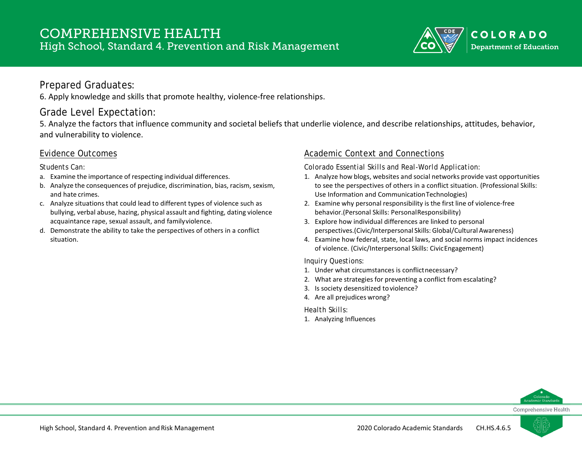

### Prepared Graduates:

6. Apply knowledge and skills that promote healthy, violence-free relationships.

# Grade Level Expectation:

5. Analyze the factors that influence community and societal beliefs that underlie violence, and describe relationships, attitudes, behavior, and vulnerability to violence.

#### Evidence Outcomes

*Students Can:*

- a. Examine the importance of respecting individual differences.
- b. Analyze the consequences of prejudice, discrimination, bias, racism, sexism, and hate crimes.
- c. Analyze situations that could lead to different types of violence such as bullying, verbal abuse, hazing, physical assault and fighting, dating violence acquaintance rape, sexual assault, and familyviolence.
- d. Demonstrate the ability to take the perspectives of others in a conflict situation.

### Academic Context and Connections

*Colorado Essential Skills and Real-World Application:*

- 1. Analyze how blogs, websites and social networks provide vast opportunities to see the perspectives of others in a conflict situation. (Professional Skills: Use Information and CommunicationTechnologies)
- 2. Examine why personal responsibility is the first line of violence-free behavior.(Personal Skills: PersonalResponsibility)
- 3. Explore how individual differences are linked to personal perspectives.(Civic/Interpersonal Skills: Global/Cultural Awareness)
- 4. Examine how federal, state, local laws, and social norms impact incidences of violence. (Civic/Interpersonal Skills: CivicEngagement)

#### *Inquiry Questions:*

- 1. Under what circumstances is conflict necessary?
- 2. What are strategies for preventing a conflict from escalating?
- 3. Is society desensitized toviolence?
- 4. Are all prejudices wrong?

*Health Skills:*

1. Analyzing Influences



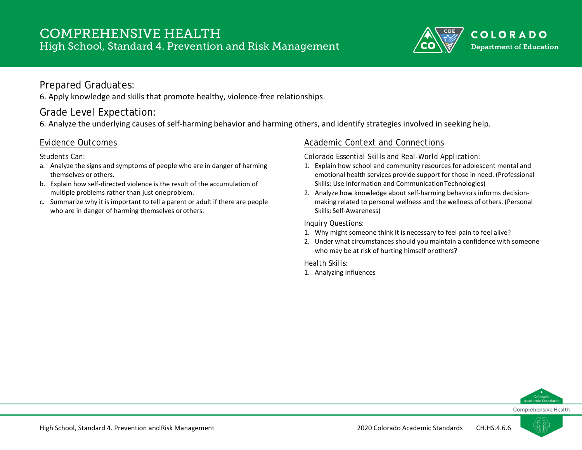

### Prepared Graduates:

6. Apply knowledge and skills that promote healthy, violence-free relationships.

## Grade Level Expectation:

6. Analyze the underlying causes of self-harming behavior and harming others, and identify strategies involved in seeking help.

#### Evidence Outcomes

*Students Can:*

- a. Analyze the signs and symptoms of people who are in danger of harming themselves or others.
- b. Explain how self-directed violence is the result of the accumulation of multiple problems rather than just oneproblem.
- c. Summarize why it is important to tell a parent or adult if there are people who are in danger of harming themselves orothers.

### Academic Context and Connections

*Colorado Essential Skills and Real-World Application:*

- 1. Explain how school and community resources for adolescent mental and emotional health services provide support for those in need. (Professional Skills: Use Information and CommunicationTechnologies)
- 2. Analyze how knowledge about self-harming behaviors informs decisionmaking related to personal wellness and the wellness of others. (Personal Skills: Self-Awareness)

#### *Inquiry Questions:*

- 1. Why might someone think it is necessary to feel pain to feel alive?
- 2. Under what circumstances should you maintain a confidence with someone who may be at risk of hurting himself orothers?

*Health Skills:*

1. Analyzing Influences



Comprehensive Health

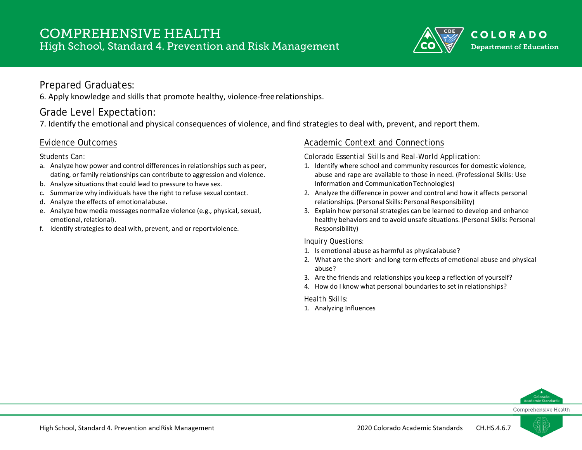

### Prepared Graduates:

6. Apply knowledge and skills that promote healthy, violence-freerelationships.

# Grade Level Expectation:

7. Identify the emotional and physical consequences of violence, and find strategies to deal with, prevent, and report them.

### Evidence Outcomes

*Students Can:*

- a. Analyze how power and control differences in relationships such as peer, dating, or family relationships can contribute to aggression and violence.
- b. Analyze situations that could lead to pressure to have sex.
- c. Summarize why individuals have the right to refuse sexual contact.
- d. Analyze the effects of emotional abuse.
- e. Analyze how media messages normalize violence (e.g., physical, sexual, emotional, relational).
- f. Identify strategies to deal with, prevent, and or reportviolence.

### Academic Context and Connections

*Colorado Essential Skills and Real-World Application:*

- 1. Identify where school and community resources for domestic violence, abuse and rape are available to those in need. (Professional Skills: Use Information and CommunicationTechnologies)
- 2. Analyze the difference in power and control and how it affects personal relationships. (Personal Skills: Personal Responsibility)
- 3. Explain how personal strategies can be learned to develop and enhance healthy behaviors and to avoid unsafe situations. (Personal Skills: Personal Responsibility)

#### *Inquiry Questions:*

- 1. Is emotional abuse as harmful as physicalabuse?
- 2. What are the short- and long-term effects of emotional abuse and physical abuse?
- 3. Are the friends and relationships you keep a reflection of yourself?
- 4. How do I know what personal boundaries to set in relationships?

*Health Skills:*

1. Analyzing Influences



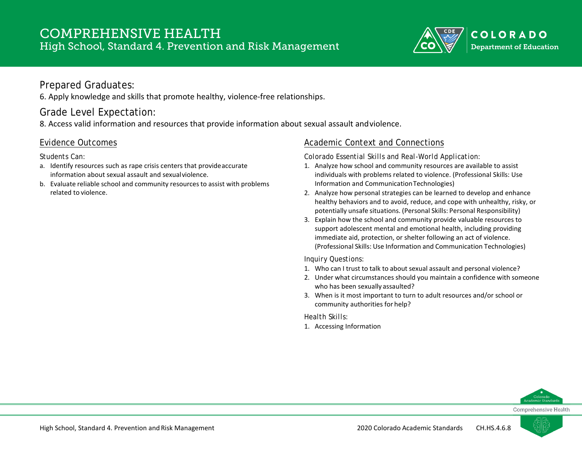

### Prepared Graduates:

6. Apply knowledge and skills that promote healthy, violence-free relationships.

# Grade Level Expectation:

8. Access valid information and resources that provide information about sexual assault andviolence.

### Evidence Outcomes

*Students Can:*

- a. Identify resources such as rape crisis centers that provideaccurate information about sexual assault and sexualviolence.
- b. Evaluate reliable school and community resourcesto assist with problems related to violence.

### Academic Context and Connections

*Colorado Essential Skills and Real-World Application:*

- 1. Analyze how school and community resources are available to assist individuals with problems related to violence. (Professional Skills: Use Information and CommunicationTechnologies)
- 2. Analyze how personal strategies can be learned to develop and enhance healthy behaviors and to avoid, reduce, and cope with unhealthy, risky, or potentially unsafe situations. (Personal Skills: Personal Responsibility)
- 3. Explain how the school and community provide valuable resources to support adolescent mental and emotional health, including providing immediate aid, protection, or shelter following an act of violence. (Professional Skills: Use Information and Communication Technologies)

#### *Inquiry Questions:*

- 1. Who can I trust to talk to about sexual assault and personal violence?
- 2. Under what circumstances should you maintain a confidence with someone who has been sexually assaulted?
- 3. When is it most important to turn to adult resources and/or school or community authorities for help?

*Health Skills:*

1. Accessing Information